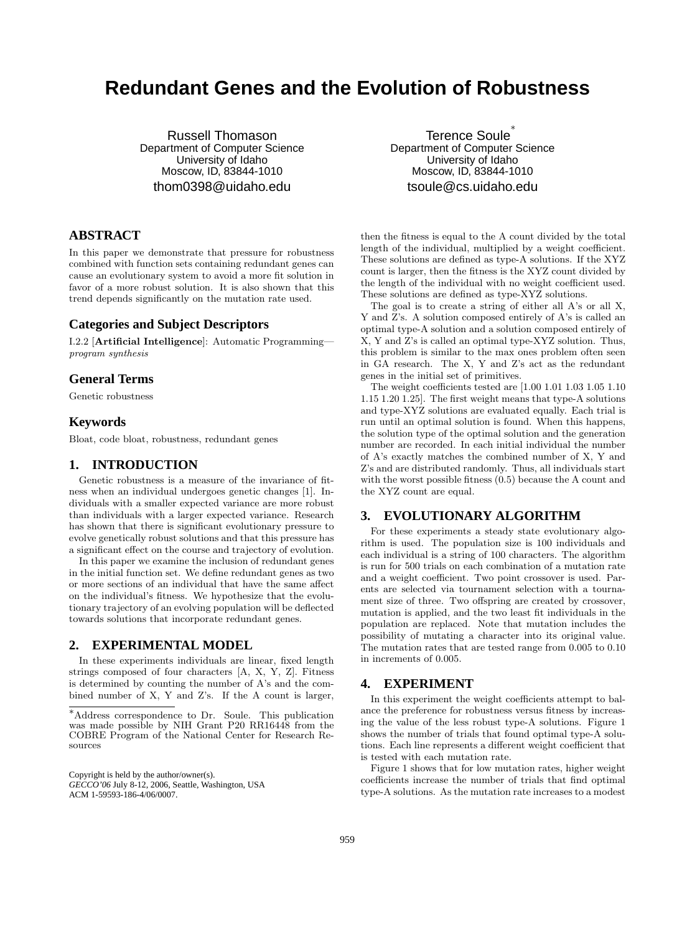# **Redundant Genes and the Evolution of Robustness**

Russell Thomason Department of Computer Science University of Idaho Moscow, ID, 83844-1010 thom0398@uidaho.edu

Terence Soule Department of Computer Science University of Idaho Moscow, ID, 83844-1010 tsoule@cs.uidaho.edu

## **ABSTRACT**

In this paper we demonstrate that pressure for robustness combined with function sets containing redundant genes can cause an evolutionary system to avoid a more fit solution in favor of a more robust solution. It is also shown that this trend depends significantly on the mutation rate used.

#### **Categories and Subject Descriptors**

I.2.2 [Artificial Intelligence]: Automatic Programming program synthesis

#### **General Terms**

Genetic robustness

#### **Keywords**

Bloat, code bloat, robustness, redundant genes

### **1. INTRODUCTION**

Genetic robustness is a measure of the invariance of fitness when an individual undergoes genetic changes [1]. Individuals with a smaller expected variance are more robust than individuals with a larger expected variance. Research has shown that there is significant evolutionary pressure to evolve genetically robust solutions and that this pressure has a significant effect on the course and trajectory of evolution.

In this paper we examine the inclusion of redundant genes in the initial function set. We define redundant genes as two or more sections of an individual that have the same affect on the individual's fitness. We hypothesize that the evolutionary trajectory of an evolving population will be deflected towards solutions that incorporate redundant genes.

### **2. EXPERIMENTAL MODEL**

In these experiments individuals are linear, fixed length strings composed of four characters [A, X, Y, Z]. Fitness is determined by counting the number of A's and the combined number of X, Y and Z's. If the A count is larger,

Copyright is held by the author/owner(s).

*GECCO'06* July 8-12, 2006, Seattle, Washington, USA ACM 1-59593-186-4/06/0007.

then the fitness is equal to the A count divided by the total length of the individual, multiplied by a weight coefficient. These solutions are defined as type-A solutions. If the XYZ count is larger, then the fitness is the XYZ count divided by the length of the individual with no weight coefficient used. These solutions are defined as type-XYZ solutions.

The goal is to create a string of either all A's or all X, Y and Z's. A solution composed entirely of A's is called an optimal type-A solution and a solution composed entirely of X, Y and Z's is called an optimal type-XYZ solution. Thus, this problem is similar to the max ones problem often seen in GA research. The X, Y and Z's act as the redundant genes in the initial set of primitives.

The weight coefficients tested are [1.00 1.01 1.03 1.05 1.10 1.15 1.20 1.25]. The first weight means that type-A solutions and type-XYZ solutions are evaluated equally. Each trial is run until an optimal solution is found. When this happens, the solution type of the optimal solution and the generation number are recorded. In each initial individual the number of A's exactly matches the combined number of X, Y and Z's and are distributed randomly. Thus, all individuals start with the worst possible fitness (0.5) because the A count and the XYZ count are equal.

#### **3. EVOLUTIONARY ALGORITHM**

For these experiments a steady state evolutionary algorithm is used. The population size is 100 individuals and each individual is a string of 100 characters. The algorithm is run for 500 trials on each combination of a mutation rate and a weight coefficient. Two point crossover is used. Parents are selected via tournament selection with a tournament size of three. Two offspring are created by crossover, mutation is applied, and the two least fit individuals in the population are replaced. Note that mutation includes the possibility of mutating a character into its original value. The mutation rates that are tested range from 0.005 to 0.10 in increments of 0.005.

#### **4. EXPERIMENT**

In this experiment the weight coefficients attempt to balance the preference for robustness versus fitness by increasing the value of the less robust type-A solutions. Figure 1 shows the number of trials that found optimal type-A solutions. Each line represents a different weight coefficient that is tested with each mutation rate.

Figure 1 shows that for low mutation rates, higher weight coefficients increase the number of trials that find optimal type-A solutions. As the mutation rate increases to a modest

<sup>∗</sup>Address correspondence to Dr. Soule. This publication was made possible by NIH Grant P20 RR16448 from the COBRE Program of the National Center for Research Resources